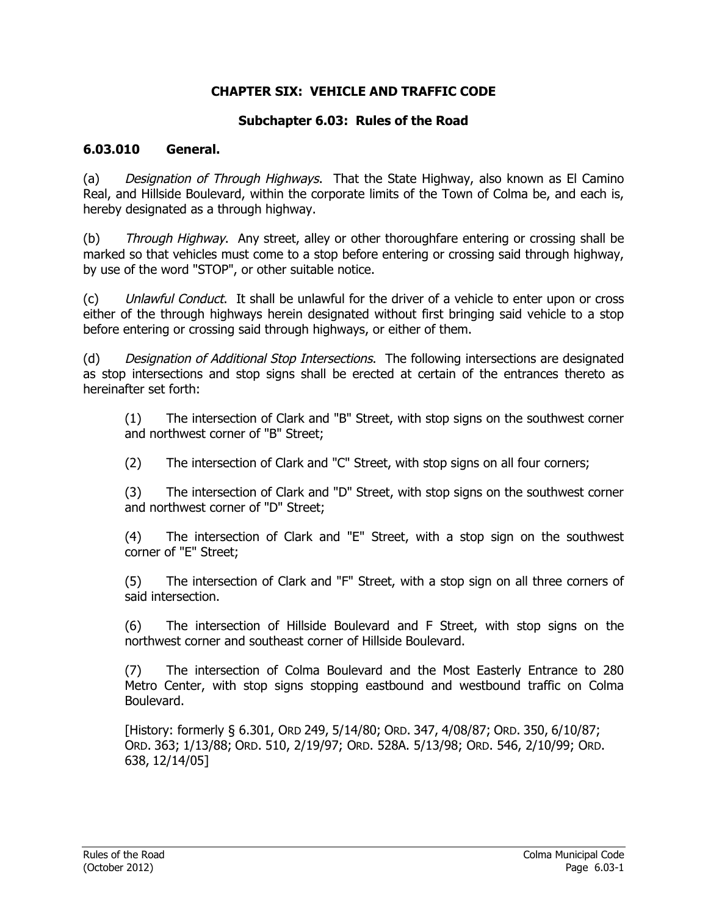#### **CHAPTER SIX: VEHICLE AND TRAFFIC CODE**

#### **Subchapter 6.03: Rules of the Road**

#### **6.03.010 General.**

(a) Designation of Through Highways. That the State Highway, also known as El Camino Real, and Hillside Boulevard, within the corporate limits of the Town of Colma be, and each is, hereby designated as a through highway.

(b) Through Highway. Any street, alley or other thoroughfare entering or crossing shall be marked so that vehicles must come to a stop before entering or crossing said through highway, by use of the word "STOP", or other suitable notice.

(c) Unlawful Conduct. It shall be unlawful for the driver of a vehicle to enter upon or cross either of the through highways herein designated without first bringing said vehicle to a stop before entering or crossing said through highways, or either of them.

(d) Designation of Additional Stop Intersections. The following intersections are designated as stop intersections and stop signs shall be erected at certain of the entrances thereto as hereinafter set forth:

(1) The intersection of Clark and "B" Street, with stop signs on the southwest corner and northwest corner of "B" Street;

(2) The intersection of Clark and "C" Street, with stop signs on all four corners;

(3) The intersection of Clark and "D" Street, with stop signs on the southwest corner and northwest corner of "D" Street;

(4) The intersection of Clark and "E" Street, with a stop sign on the southwest corner of "E" Street;

(5) The intersection of Clark and "F" Street, with a stop sign on all three corners of said intersection.

(6) The intersection of Hillside Boulevard and F Street, with stop signs on the northwest corner and southeast corner of Hillside Boulevard.

(7) The intersection of Colma Boulevard and the Most Easterly Entrance to 280 Metro Center, with stop signs stopping eastbound and westbound traffic on Colma Boulevard.

[History: formerly § 6.301, ORD 249, 5/14/80; ORD. 347, 4/08/87; ORD. 350, 6/10/87; ORD. 363; 1/13/88; ORD. 510, 2/19/97; ORD. 528A. 5/13/98; ORD. 546, 2/10/99; ORD. 638, 12/14/05]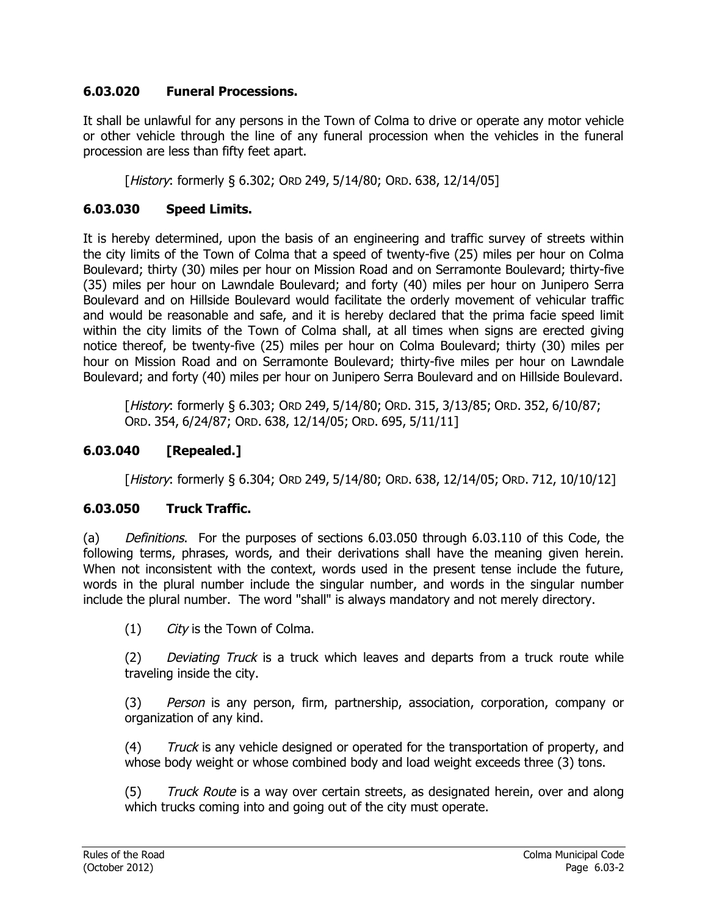### **6.03.020 Funeral Processions.**

It shall be unlawful for any persons in the Town of Colma to drive or operate any motor vehicle or other vehicle through the line of any funeral procession when the vehicles in the funeral procession are less than fifty feet apart.

[History: formerly § 6.302; ORD 249, 5/14/80; ORD. 638, 12/14/05]

### **6.03.030 Speed Limits.**

It is hereby determined, upon the basis of an engineering and traffic survey of streets within the city limits of the Town of Colma that a speed of twenty-five (25) miles per hour on Colma Boulevard; thirty (30) miles per hour on Mission Road and on Serramonte Boulevard; thirty-five (35) miles per hour on Lawndale Boulevard; and forty (40) miles per hour on Junipero Serra Boulevard and on Hillside Boulevard would facilitate the orderly movement of vehicular traffic and would be reasonable and safe, and it is hereby declared that the prima facie speed limit within the city limits of the Town of Colma shall, at all times when signs are erected giving notice thereof, be twenty-five (25) miles per hour on Colma Boulevard; thirty (30) miles per hour on Mission Road and on Serramonte Boulevard; thirty-five miles per hour on Lawndale Boulevard; and forty (40) miles per hour on Junipero Serra Boulevard and on Hillside Boulevard.

[History: formerly § 6.303; ORD 249, 5/14/80; ORD. 315, 3/13/85; ORD. 352, 6/10/87; ORD. 354, 6/24/87; ORD. 638, 12/14/05; ORD. 695, 5/11/11]

### **6.03.040 [Repealed.]**

[History: formerly § 6.304; ORD 249, 5/14/80; ORD. 638, 12/14/05; ORD. 712, 10/10/12]

#### **6.03.050 Truck Traffic.**

(a) Definitions. For the purposes of sections 6.03.050 through 6.03.110 of this Code, the following terms, phrases, words, and their derivations shall have the meaning given herein. When not inconsistent with the context, words used in the present tense include the future, words in the plural number include the singular number, and words in the singular number include the plural number. The word "shall" is always mandatory and not merely directory.

 $(1)$  City is the Town of Colma.

(2) Deviating Truck is a truck which leaves and departs from a truck route while traveling inside the city.

(3) Person is any person, firm, partnership, association, corporation, company or organization of any kind.

(4) Truck is any vehicle designed or operated for the transportation of property, and whose body weight or whose combined body and load weight exceeds three (3) tons.

(5) Truck Route is a way over certain streets, as designated herein, over and along which trucks coming into and going out of the city must operate.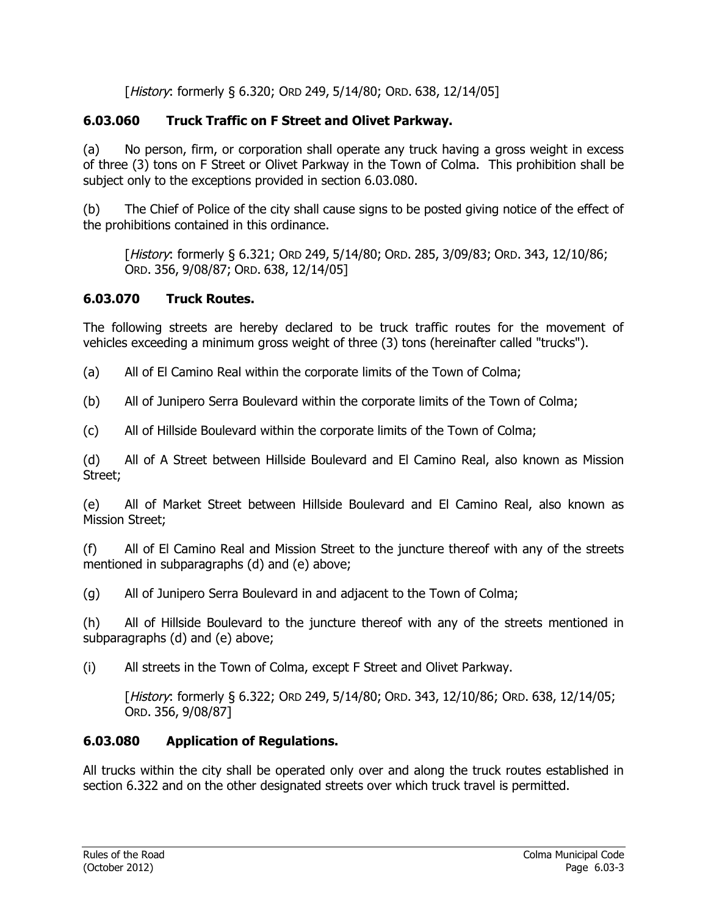[History: formerly § 6.320; ORD 249, 5/14/80; ORD. 638, 12/14/05]

## **6.03.060 Truck Traffic on F Street and Olivet Parkway.**

(a) No person, firm, or corporation shall operate any truck having a gross weight in excess of three (3) tons on F Street or Olivet Parkway in the Town of Colma. This prohibition shall be subject only to the exceptions provided in section 6.03.080.

(b) The Chief of Police of the city shall cause signs to be posted giving notice of the effect of the prohibitions contained in this ordinance.

[History: formerly § 6.321; ORD 249, 5/14/80; ORD. 285, 3/09/83; ORD. 343, 12/10/86; ORD. 356, 9/08/87; ORD. 638, 12/14/05]

### **6.03.070 Truck Routes.**

The following streets are hereby declared to be truck traffic routes for the movement of vehicles exceeding a minimum gross weight of three (3) tons (hereinafter called "trucks").

(a) All of El Camino Real within the corporate limits of the Town of Colma;

(b) All of Junipero Serra Boulevard within the corporate limits of the Town of Colma;

(c) All of Hillside Boulevard within the corporate limits of the Town of Colma;

(d) All of A Street between Hillside Boulevard and El Camino Real, also known as Mission Street;

(e) All of Market Street between Hillside Boulevard and El Camino Real, also known as Mission Street;

(f) All of El Camino Real and Mission Street to the juncture thereof with any of the streets mentioned in subparagraphs (d) and (e) above;

(g) All of Junipero Serra Boulevard in and adjacent to the Town of Colma;

(h) All of Hillside Boulevard to the juncture thereof with any of the streets mentioned in subparagraphs (d) and (e) above;

(i) All streets in the Town of Colma, except F Street and Olivet Parkway.

[History: formerly § 6.322; ORD 249, 5/14/80; ORD. 343, 12/10/86; ORD. 638, 12/14/05; ORD. 356, 9/08/87]

# **6.03.080 Application of Regulations.**

All trucks within the city shall be operated only over and along the truck routes established in section 6.322 and on the other designated streets over which truck travel is permitted.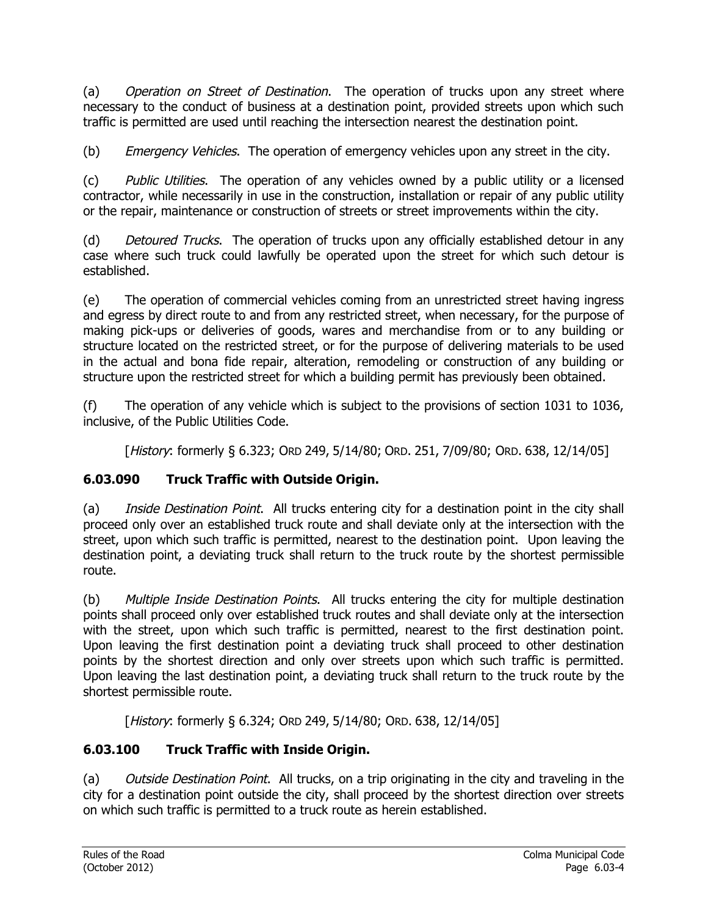(a) Operation on Street of Destination. The operation of trucks upon any street where necessary to the conduct of business at a destination point, provided streets upon which such traffic is permitted are used until reaching the intersection nearest the destination point.

(b) Emergency Vehicles. The operation of emergency vehicles upon any street in the city.

(c) Public Utilities. The operation of any vehicles owned by a public utility or a licensed contractor, while necessarily in use in the construction, installation or repair of any public utility or the repair, maintenance or construction of streets or street improvements within the city.

(d) Detoured Trucks. The operation of trucks upon any officially established detour in any case where such truck could lawfully be operated upon the street for which such detour is established.

(e) The operation of commercial vehicles coming from an unrestricted street having ingress and egress by direct route to and from any restricted street, when necessary, for the purpose of making pick-ups or deliveries of goods, wares and merchandise from or to any building or structure located on the restricted street, or for the purpose of delivering materials to be used in the actual and bona fide repair, alteration, remodeling or construction of any building or structure upon the restricted street for which a building permit has previously been obtained.

(f) The operation of any vehicle which is subject to the provisions of section 1031 to 1036, inclusive, of the Public Utilities Code.

[History: formerly § 6.323; ORD 249, 5/14/80; ORD. 251, 7/09/80; ORD. 638, 12/14/05]

### **6.03.090 Truck Traffic with Outside Origin.**

(a) Inside Destination Point. All trucks entering city for a destination point in the city shall proceed only over an established truck route and shall deviate only at the intersection with the street, upon which such traffic is permitted, nearest to the destination point. Upon leaving the destination point, a deviating truck shall return to the truck route by the shortest permissible route.

(b) Multiple Inside Destination Points. All trucks entering the city for multiple destination points shall proceed only over established truck routes and shall deviate only at the intersection with the street, upon which such traffic is permitted, nearest to the first destination point. Upon leaving the first destination point a deviating truck shall proceed to other destination points by the shortest direction and only over streets upon which such traffic is permitted. Upon leaving the last destination point, a deviating truck shall return to the truck route by the shortest permissible route.

[History: formerly § 6.324; ORD 249, 5/14/80; ORD. 638, 12/14/05]

### **6.03.100 Truck Traffic with Inside Origin.**

(a) *Outside Destination Point*. All trucks, on a trip originating in the city and traveling in the city for a destination point outside the city, shall proceed by the shortest direction over streets on which such traffic is permitted to a truck route as herein established.